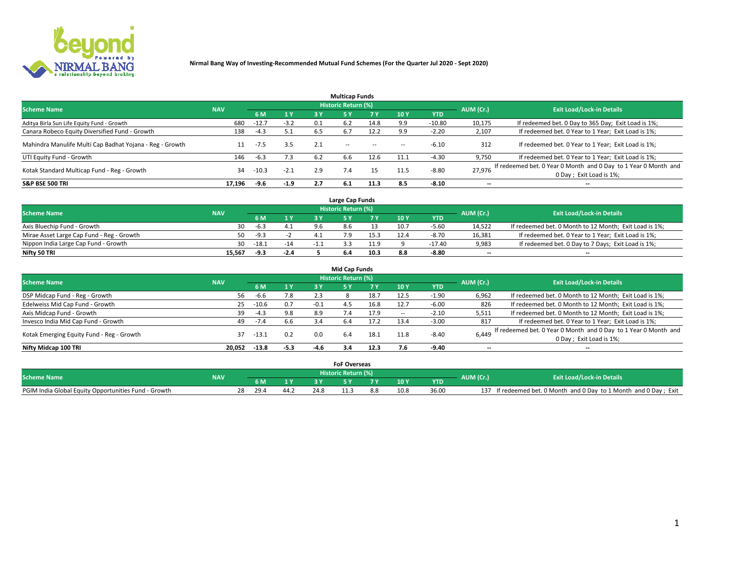

|                                                          |            |         |        |     | <b>Multicap Funds</b> |           |      |            |                          |                                                                                             |
|----------------------------------------------------------|------------|---------|--------|-----|-----------------------|-----------|------|------------|--------------------------|---------------------------------------------------------------------------------------------|
| <b>Scheme Name</b>                                       | <b>NAV</b> |         |        |     | Historic Return (%)   |           |      |            | AUM (Cr.)                | <b>Exit Load/Lock-in Details</b>                                                            |
|                                                          |            | 6 M     | 1 Y    | 3 Y |                       | <b>7Y</b> | 10Y  | <b>YTD</b> |                          |                                                                                             |
| Aditya Birla Sun Life Equity Fund - Growth               | 680        | $-12.7$ | $-3.2$ | 0.1 | 6.2                   | 14.8      | 9.9  | $-10.80$   | 10,175                   | If redeemed bet. 0 Day to 365 Day; Exit Load is 1%;                                         |
| Canara Robeco Equity Diversified Fund - Growth           | 138        | $-4.3$  | 5.1    | 6.5 | 6.7                   | 12.2      | 9.9  | $-2.20$    | 2,107                    | If redeemed bet. 0 Year to 1 Year; Exit Load is 1%;                                         |
| Mahindra Manulife Multi Cap Badhat Yojana - Reg - Growth |            | -7.5    | 3.5    | 2.1 | $\sim$ $-$            | $-$       | --   | $-6.10$    | 312                      | If redeemed bet. 0 Year to 1 Year; Exit Load is 1%;                                         |
| UTI Equity Fund - Growth                                 | 146        | $-6.3$  | 7.3    | 6.2 | 6.6                   | 12.6      | 11.1 | $-4.30$    | 9,750                    | If redeemed bet. 0 Year to 1 Year; Exit Load is 1%;                                         |
| Kotak Standard Multicap Fund - Reg - Growth              | 34         | $-10.3$ | $-2.1$ | 2.9 | 7.4                   | 15        | 11.5 | $-8.80$    | 27.976                   | If redeemed bet. 0 Year 0 Month and 0 Day to 1 Year 0 Month and<br>0 Day ; Exit Load is 1%; |
| <b>S&amp;P BSE 500 TRI</b>                               | 17.196     | -9.6    | $-1.9$ | 2.7 | 6.1                   | 11.3      | 8.5  | $-8.10$    | $\overline{\phantom{a}}$ | $- -$                                                                                       |

|                                           |            |         |       | Large Cap Funds     |      |      |            |                          |                                                        |
|-------------------------------------------|------------|---------|-------|---------------------|------|------|------------|--------------------------|--------------------------------------------------------|
| <b>Scheme Name</b>                        | <b>NAV</b> |         |       | Historic Return (%) |      |      |            | AUM (Cr.)                | <b>Exit Load/Lock-in Details</b>                       |
|                                           |            |         | 1 Y   |                     |      | 10 Y | <b>YTD</b> |                          |                                                        |
| Axis Bluechip Fund - Growth               | 30         | $-6.3$  | 4.1   |                     |      | 10.7 | $-5.60$    | 14,522                   | If redeemed bet. 0 Month to 12 Month; Exit Load is 1%; |
| Mirae Asset Large Cap Fund - Reg - Growth | 50         | -9.3    |       |                     |      | 12.4 | -8.70      | 16,381                   | If redeemed bet. 0 Year to 1 Year; Exit Load is 1%;    |
| Nippon India Large Cap Fund - Growth      | 30         | $-18.1$ | $-14$ |                     | 11.9 |      | $-17.40$   | 9,983                    | If redeemed bet. 0 Day to 7 Days; Exit Load is 1%;     |
| Nifty 50 TRI                              | 15,567     | -9.3    | -2.4  |                     | 10.3 |      | $-8.80$    | $\overline{\phantom{a}}$ | $- -$                                                  |

|                                           |            |         |        |        | <b>Mid Cap Funds</b> |      |      |            |                          |                                                                 |
|-------------------------------------------|------------|---------|--------|--------|----------------------|------|------|------------|--------------------------|-----------------------------------------------------------------|
| <b>Scheme Name</b>                        | <b>NAV</b> |         |        |        | Historic Return (%)  |      |      |            | AUM (Cr.)                | <b>Exit Load/Lock-in Details</b>                                |
|                                           |            | 6 M     | 1Y     | 3 Y    | 51                   |      | 10Y  | <b>YTD</b> |                          |                                                                 |
| DSP Midcap Fund - Reg - Growth            | 56         | -6.6    | 7.8    | 2.3    |                      | 18.7 | 12.5 | $-1.90$    | 6,962                    | If redeemed bet. 0 Month to 12 Month; Exit Load is 1%;          |
| Edelweiss Mid Cap Fund - Growth           | 25         | $-10.6$ | 0.7    | $-0.1$ | 4.5                  | 16.8 | 12.7 | -6.00      | 826                      | If redeemed bet. 0 Month to 12 Month; Exit Load is 1%;          |
| Axis Midcap Fund - Growth                 | 39         | $-4.3$  | 9.8    | 8.9    | 7.4                  | 17.9 |      | $-2.10$    | 5,511                    | If redeemed bet. 0 Month to 12 Month; Exit Load is 1%;          |
| Invesco India Mid Cap Fund - Growth       | 49         | $-7.4$  | 6.6    | 3.4    | -6.4                 | 17.2 | 13.4 | $-3.00$    | 817                      | If redeemed bet. 0 Year to 1 Year; Exit Load is 1%;             |
| Kotak Emerging Equity Fund - Reg - Growth | 37         | -13.1   | 0.2    | 0.0    | 6.4                  | 18.1 | 11.8 | $-8.40$    | 6,449                    | If redeemed bet. 0 Year 0 Month and 0 Day to 1 Year 0 Month and |
|                                           |            |         |        |        |                      |      |      |            |                          | 0 Day; Exit Load is 1%;                                         |
| Nifty Midcap 100 TRI                      | 20.052     | $-13.8$ | $-5.3$ | $-4.6$ | 3.4                  | 12.3 |      | $-9.40$    | $\overline{\phantom{a}}$ | $- -$                                                           |

|                                                      |            |      |      |      | <b>FoF Overseas</b>   |   |      |            |           |                                                               |
|------------------------------------------------------|------------|------|------|------|-----------------------|---|------|------------|-----------|---------------------------------------------------------------|
| <b>Scheme Name</b>                                   | <b>NAV</b> |      |      |      | ۱ Historic Return (%) |   |      |            | AUM (Cr.) | <b>Exit Load/Lock-in Details</b>                              |
|                                                      |            |      |      |      |                       | - | 10 Y | <b>YTD</b> |           |                                                               |
| PGIM India Global Equity Opportunities Fund - Growth |            | 29.4 | ے:44 | 24.8 |                       |   | 10.8 | 36.00      | 137       | If redeemed bet. 0 Month and 0 Day to 1 Month and 0 Day; Exit |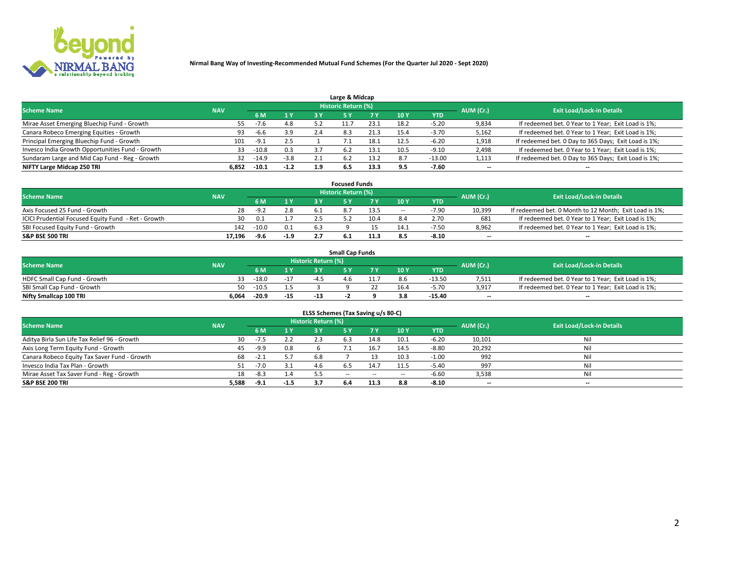

|                                                  |            |         |        |     | Large & Midcap             |      |      |            |                          |                                                      |
|--------------------------------------------------|------------|---------|--------|-----|----------------------------|------|------|------------|--------------------------|------------------------------------------------------|
| <b>Scheme Name</b>                               | <b>NAV</b> |         |        |     | <b>Historic Return (%)</b> |      |      |            | AUM (Cr.)                | <b>Exit Load/Lock-in Details</b>                     |
|                                                  |            | 6 M     | 1 Y    |     |                            | 7 V  | 10Y  | <b>YTD</b> |                          |                                                      |
| Mirae Asset Emerging Bluechip Fund - Growth      | 55         | $-7.6$  | 4.8    |     |                            | 23.7 | 18.: | -5.20      | 9,834                    | If redeemed bet. 0 Year to 1 Year; Exit Load is 1%;  |
| Canara Robeco Emerging Equities - Growth         | 93         | -6.6    | 3.9    | 2.4 | 8.3                        | 21.3 | 15.4 | $-3.70$    | 5,162                    | If redeemed bet. 0 Year to 1 Year; Exit Load is 1%;  |
| Principal Emerging Bluechip Fund - Growth        | 101        | $-9.1$  | 2.5    |     |                            | 18.1 | 12.5 | $-6.20$    | 1,918                    | If redeemed bet. 0 Day to 365 Days; Exit Load is 1%; |
| Invesco India Growth Opportunities Fund - Growth | 33         | $-10.8$ | 0.3    | 37  | 6.2                        |      | 10.5 | $-9.10$    | 2,498                    | If redeemed bet. 0 Year to 1 Year; Exit Load is 1%;  |
| Sundaram Large and Mid Cap Fund - Reg - Growth   | 32         | $-14.9$ | $-3.8$ |     | 6.2                        | 13.2 | 8.7  | $-13.00$   | 1,113                    | If redeemed bet. 0 Day to 365 Days; Exit Load is 1%; |
| NIFTY Large Midcap 250 TRI                       | 6.852      | $-10.1$ | $-1.2$ | 1.9 | 6.5                        | 13.3 | 9.5  | -7.60      | $\overline{\phantom{a}}$ | $- -$                                                |

|                                                     |            |         |        |      | <b>Focused Funds</b>       |      |        |            |                          |                                                        |
|-----------------------------------------------------|------------|---------|--------|------|----------------------------|------|--------|------------|--------------------------|--------------------------------------------------------|
| <b>Scheme Name</b>                                  | <b>NAV</b> |         |        |      | <b>Historic Return (%)</b> |      |        |            | AUM (Cr.)                | <b>Exit Load/Lock-in Details</b>                       |
|                                                     |            | 6 M     | 1 V    |      |                            |      | 10 Y   | <b>YTD</b> |                          |                                                        |
| Axis Focused 25 Fund - Growth                       | 28         | $-9.2$  | 2.8    |      |                            | 13.5 | $\sim$ | $-7.90$    | 10,399                   | If redeemed bet. 0 Month to 12 Month; Exit Load is 1%; |
| ICICI Prudential Focused Equity Fund - Ret - Growth | 30         | 0.1     |        |      |                            | 10.4 |        | 2.70       | 681                      | If redeemed bet. 0 Year to 1 Year; Exit Load is 1%;    |
| SBI Focused Equity Fund - Growth                    | 142        | $-10.0$ | 0.1    | -6.3 |                            |      | 14.1   | $-7.5C$    | 8,962                    | If redeemed bet. 0 Year to 1 Year; Exit Load is 1%;    |
| S&P BSE 500 TRI                                     | 17.196     | -9.6    | $-1.9$ |      |                            | 11.3 |        | -8.10      | $\overline{\phantom{a}}$ | $- -$                                                  |

| <b>Small Cap Funds</b>       |       |                                                |       |       |     |  |                 |            |       |                                                     |  |  |
|------------------------------|-------|------------------------------------------------|-------|-------|-----|--|-----------------|------------|-------|-----------------------------------------------------|--|--|
| <b>Scheme Name</b>           |       | Historic Return (%)<br>AUM (Cr.)<br><b>NAV</b> |       |       |     |  |                 |            |       | <b>Exit Load/Lock-in Details</b>                    |  |  |
|                              |       | 6 M                                            | 1 Y   |       |     |  | 10 <sub>Y</sub> | <b>YTD</b> |       |                                                     |  |  |
| HDFC Small Cap Fund - Growth |       | $-18.0$                                        | $-17$ | -41   | 4.6 |  |                 | $-13.50$   | 7,511 | If redeemed bet. 0 Year to 1 Year; Exit Load is 1%; |  |  |
| SBI Small Cap Fund - Growth  | 50.   | $-10.5$                                        |       |       |     |  | 16.4            | $-5.70$    | 3,917 | If redeemed bet. 0 Year to 1 Year; Exit Load is 1%; |  |  |
| Nifty Smallcap 100 TRI       | 6.064 | $-20.9$                                        | $-15$ | $-13$ |     |  |                 | $-15.40$   | $- -$ | $- -$                                               |  |  |

| ELSS Schemes (Tax Saving u/s 80-C)           |            |        |      |                            |            |        |        |            |           |                                  |  |  |  |
|----------------------------------------------|------------|--------|------|----------------------------|------------|--------|--------|------------|-----------|----------------------------------|--|--|--|
| <b>Scheme Name</b>                           | <b>NAV</b> |        |      | <b>Historic Return (%)</b> |            |        |        |            | AUM (Cr.) | <b>Exit Load/Lock-in Details</b> |  |  |  |
|                                              |            | 6 M    |      |                            | 5 Y        | 7 Y    | 10Y    | <b>YTD</b> |           |                                  |  |  |  |
| Aditya Birla Sun Life Tax Relief 96 - Growth | 30         | $-7.5$ | 2.2  | 2.3                        | 5.3        | 14.8   | 10.1   | $-6.20$    | 10,101    | Nil                              |  |  |  |
| Axis Long Term Equity Fund - Growth          | 45         | $-9.9$ | 0.8  |                            |            | 16.7   | 14.5   | $-8.80$    | 20,292    | Nil                              |  |  |  |
| Canara Robeco Equity Tax Saver Fund - Growth | 68         | $-2.1$ | 5.7  | 6.8                        |            |        | 10.3   | $-1.00$    | 992       | Nil                              |  |  |  |
| Invesco India Tax Plan - Growth              |            | $-7.0$ |      |                            |            | 14.7   | 11.5   | $-5.40$    | 997       | Nil                              |  |  |  |
| Mirae Asset Tax Saver Fund - Reg - Growth    | 18         | $-8.3$ | 1.4  | 5.5                        | $\sim$ $-$ | $\sim$ | $\sim$ | $-6.60$    | 3,538     | Nil                              |  |  |  |
| S&P BSE 200 TRI                              | 5,588      | $-9.1$ | -1.5 |                            | 6.4        | 11.3   | 8.8    | $-8.10$    | --        | $- -$                            |  |  |  |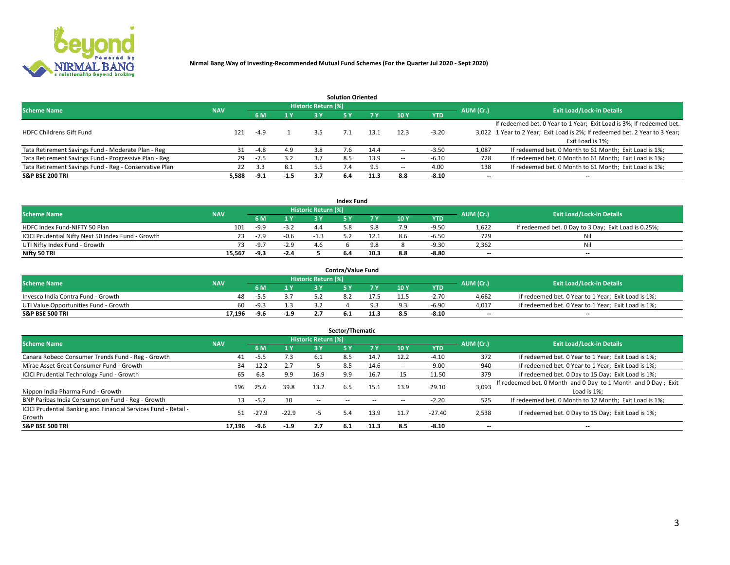

|                                                        |            |            |        |                            | <b>Solution Oriented</b> |      |                          |            |                          |                                                                             |
|--------------------------------------------------------|------------|------------|--------|----------------------------|--------------------------|------|--------------------------|------------|--------------------------|-----------------------------------------------------------------------------|
| <b>Scheme Name</b>                                     | <b>NAV</b> |            |        | <b>Historic Return (%)</b> |                          |      |                          |            | AUM (Cr.)                | <b>Exit Load/Lock-in Details</b>                                            |
|                                                        |            | <b>6 M</b> | 1 Y    | 73 V                       |                          |      | 10Y                      | <b>YTD</b> |                          |                                                                             |
|                                                        |            |            |        |                            |                          |      |                          |            |                          | If redeemed bet. 0 Year to 1 Year; Exit Load is 3%; If redeemed bet.        |
| <b>HDFC Childrens Gift Fund</b>                        | 121        | $-4.9$     |        | 3.5                        |                          | 13.1 | 12.3                     | $-3.20$    |                          | 3,022 1 Year to 2 Year; Exit Load is 2%; If redeemed bet. 2 Year to 3 Year; |
|                                                        |            |            |        |                            |                          |      |                          |            |                          | Exit Load is 1%:                                                            |
| Tata Retirement Savings Fund - Moderate Plan - Reg     | 31         | $-4.8$     | 4.9    | 3.8                        | 7.6                      | 14.4 |                          | $-3.50$    | 1,087                    | If redeemed bet. 0 Month to 61 Month; Exit Load is 1%;                      |
| Tata Retirement Savings Fund - Progressive Plan - Reg  | 29         | -7.5       | 3.2    | 3.7                        | 8.5                      | 13.9 | $\overline{\phantom{a}}$ | $-6.10$    | 728                      | If redeemed bet. 0 Month to 61 Month; Exit Load is 1%;                      |
| Tata Retirement Savings Fund - Reg - Conservative Plan | 22         | 3.3        | 8.1    | 5.5                        |                          |      | --                       | 4.00       | 138                      | If redeemed bet. 0 Month to 61 Month; Exit Load is 1%;                      |
| S&P BSE 200 TRI                                        | 5,588      | $-9.1$     | $-1.5$ | 3.7                        | 6.4                      | 11.3 | 8.8                      | $-8.10$    | $\overline{\phantom{a}}$ | $- -$                                                                       |

|                                                    |            |        |                |                     | <b>Index Fund</b> |      |      |            |                          |                                                      |
|----------------------------------------------------|------------|--------|----------------|---------------------|-------------------|------|------|------------|--------------------------|------------------------------------------------------|
| <b>Scheme Name</b>                                 | <b>NAV</b> |        |                | Historic Return (%) |                   |      |      |            | AUM (Cr.)                | <b>Exit Load/Lock-in Details</b>                     |
|                                                    |            |        | $\sqrt{1}$ $V$ | 2 V                 |                   | 7 V  | 10 Y | <b>YTD</b> |                          |                                                      |
| HDFC Index Fund-NIFTY 50 Plan                      | 101        | -9.9   | $-3.2$         |                     |                   |      |      | $-9.5C$    | 1,622                    | If redeemed bet. 0 Day to 3 Day; Exit Load is 0.25%; |
| ICICI Prudential Nifty Next 50 Index Fund - Growth |            | $-7.9$ | $-0.6$         | - 1                 |                   |      |      | $-6.5C$    | 729                      | Nil                                                  |
| UTI Nifty Index Fund - Growth                      |            | $-9.7$ | $-2.9$         |                     |                   |      |      | $-9.30$    | 2,362                    | Nil                                                  |
| Nifty 50 TRI                                       | 15,567     | -9.3   | $-2.4$         |                     |                   | 10.3 |      | $-8.80$    | $\overline{\phantom{a}}$ | $- -$                                                |

|                                       |            |        |                                           |                            | <b>Contra/Value Fund</b> |      |     |            |                          |                                                     |
|---------------------------------------|------------|--------|-------------------------------------------|----------------------------|--------------------------|------|-----|------------|--------------------------|-----------------------------------------------------|
| <b>Scheme Name</b>                    | <b>NAV</b> |        |                                           | <b>Historic Return (%)</b> |                          |      |     |            | AUM (Cr.)                | <b>Exit Load/Lock-in Details</b>                    |
|                                       |            |        | $\blacktriangleleft$ $\blacktriangledown$ |                            |                          | 7 V  | 10Y | <b>YTD</b> |                          |                                                     |
| Invesco India Contra Fund - Growth    | 48         | -5.5   |                                           |                            |                          |      |     | $-2.70$    | 4,662                    | If redeemed bet. 0 Year to 1 Year; Exit Load is 1%; |
| UTI Value Opportunities Fund - Growth | 60         | $-9.3$ |                                           |                            |                          |      |     | $-6.90$    | 4,017                    | If redeemed bet. 0 Year to 1 Year; Exit Load is 1%; |
| <b>S&amp;P BSE 500 TRI</b>            | 17.196     | $-9.6$ | $-1.9$                                    |                            |                          | 11.3 |     | $-8.10$    | $\overline{\phantom{a}}$ | $- -$                                               |

| Sector/Thematic                                                           |            |         |         |                     |     |      |                          |            |           |                                                                              |  |  |  |
|---------------------------------------------------------------------------|------------|---------|---------|---------------------|-----|------|--------------------------|------------|-----------|------------------------------------------------------------------------------|--|--|--|
| <b>Scheme Name</b>                                                        | <b>NAV</b> |         |         | Historic Return (%) |     |      |                          |            | AUM (Cr.) | <b>Exit Load/Lock-in Details</b>                                             |  |  |  |
|                                                                           |            | 6 M     | 1Y      | 3 Y                 | 5 Y |      | 10Y                      | <b>YTD</b> |           |                                                                              |  |  |  |
| Canara Robeco Consumer Trends Fund - Reg - Growth                         | 41         | $-5.5$  | 7.3     | 6.1                 | 8.5 | 14.7 | 12.2                     | $-4.10$    | 372       | If redeemed bet. 0 Year to 1 Year; Exit Load is 1%;                          |  |  |  |
| Mirae Asset Great Consumer Fund - Growth                                  | 34         | $-12.2$ |         |                     | 8.5 | 14.6 | $\overline{\phantom{a}}$ | $-9.00$    | 940       | If redeemed bet. 0 Year to 1 Year; Exit Load is 1%;                          |  |  |  |
| <b>ICICI Prudential Technology Fund - Growth</b>                          | 65         | 6.8     | 9.9     | 16.9                | 9.9 | 16.7 |                          | 11.50      | 379       | If redeemed bet. 0 Day to 15 Day; Exit Load is 1%;                           |  |  |  |
| Nippon India Pharma Fund - Growth                                         | 196        | 25.6    | 39.8    | 13.2                | 6.5 | 15.1 | 13.9                     | 29.10      | 3,093     | If redeemed bet. 0 Month and 0 Day to 1 Month and 0 Day; Exit<br>Load is 1%: |  |  |  |
| BNP Paribas India Consumption Fund - Reg - Growth                         | 13         | $-5.2$  | 10      | $\sim$ $-$          |     |      |                          | $-2.20$    | 525       | If redeemed bet. 0 Month to 12 Month; Exit Load is 1%;                       |  |  |  |
| ICICI Prudential Banking and Financial Services Fund - Retail -<br>Growth | 51         | -27.9   | $-22.9$ | -5                  | 5.4 | 13.9 | 11.7                     | $-27.40$   | 2,538     | If redeemed bet. 0 Day to 15 Day; Exit Load is 1%;                           |  |  |  |
| <b>S&amp;P BSE 500 TRI</b>                                                | 17,196     | -9.6    | $-1.9$  | 2.7                 | 6.1 | 11.3 | 8.5                      | $-8.10$    | --        | $- -$                                                                        |  |  |  |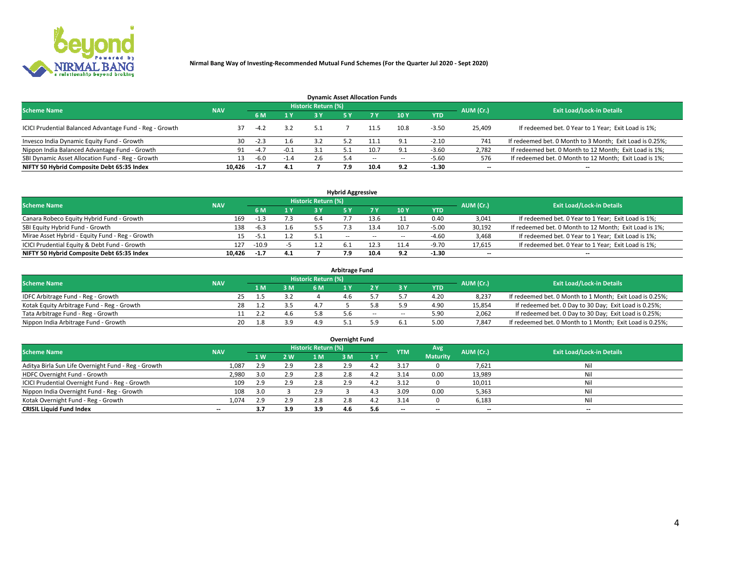

| <b>Dynamic Asset Allocation Funds</b>                   |            |                                  |        |     |     |        |                          |            |                          |                                                          |  |  |  |  |
|---------------------------------------------------------|------------|----------------------------------|--------|-----|-----|--------|--------------------------|------------|--------------------------|----------------------------------------------------------|--|--|--|--|
| <b>Scheme Name</b>                                      | AUM (Cr.)  | <b>Exit Load/Lock-in Details</b> |        |     |     |        |                          |            |                          |                                                          |  |  |  |  |
|                                                         | <b>NAV</b> | 6 M                              | 1 Y    |     |     |        | <b>10Y</b>               | <b>YTD</b> |                          |                                                          |  |  |  |  |
| ICICI Prudential Balanced Advantage Fund - Reg - Growth |            | $-4.2$                           | 3.2    | 5.1 |     | 11.5   | 10.8                     | $-3.50$    | 25,409                   | If redeemed bet. 0 Year to 1 Year; Exit Load is 1%;      |  |  |  |  |
| Invesco India Dynamic Equity Fund - Growth              | 30         | $-2.3$                           | 1.6    |     |     |        |                          | $-2.10$    | 741                      | If redeemed bet. 0 Month to 3 Month; Exit Load is 0.25%; |  |  |  |  |
| Nippon India Balanced Advantage Fund - Growth           | 91         | $-4.7$                           | $-0.1$ |     |     |        |                          | $-3.60$    | 2,782                    | If redeemed bet. 0 Month to 12 Month; Exit Load is 1%;   |  |  |  |  |
| SBI Dynamic Asset Allocation Fund - Reg - Growth        | 13.        | $-6.0$                           | $-1.4$ | 2.6 | 5.4 | $\sim$ | $\overline{\phantom{a}}$ | $-5.60$    | 576                      | If redeemed bet. 0 Month to 12 Month; Exit Load is 1%;   |  |  |  |  |
| NIFTY 50 Hybrid Composite Debt 65:35 Index              | 10,426     | $-1.7$                           | 4.1    |     | 7.9 | 10.4   | 9.2                      | $-1.30$    | $\overline{\phantom{a}}$ |                                                          |  |  |  |  |

| <b>Hybrid Aggressive</b>                        |            |                                  |     |    |            |        |      |            |                          |                                                        |  |  |  |  |
|-------------------------------------------------|------------|----------------------------------|-----|----|------------|--------|------|------------|--------------------------|--------------------------------------------------------|--|--|--|--|
| <b>Scheme Name</b>                              | AUM (Cr.)  | <b>Exit Load/Lock-in Details</b> |     |    |            |        |      |            |                          |                                                        |  |  |  |  |
|                                                 | <b>NAV</b> | 6 M                              | 1 Y |    |            | 7 V    | 10Y  | <b>YTD</b> |                          |                                                        |  |  |  |  |
| Canara Robeco Equity Hybrid Fund - Growth       | 169        |                                  | 7.3 | 64 |            |        |      | 0.40       | 3,041                    | If redeemed bet. 0 Year to 1 Year; Exit Load is 1%;    |  |  |  |  |
| SBI Equity Hybrid Fund - Growth                 | 138        | $-6.3$                           | ⊥.b |    |            | 13.4   | 10.7 | $-5.00$    | 30,192                   | If redeemed bet. 0 Month to 12 Month; Exit Load is 1%; |  |  |  |  |
| Mirae Asset Hybrid - Equity Fund - Reg - Growth |            |                                  |     |    | $\sim$ $-$ | $\sim$ | --   | $-4.60$    | 3,468                    | If redeemed bet. 0 Year to 1 Year; Exit Load is 1%;    |  |  |  |  |
| ICICI Prudential Equity & Debt Fund - Growth    | 127        | $-10.9$                          |     |    |            | 12.3   |      | $-9.70$    | 17,615                   | If redeemed bet. 0 Year to 1 Year; Exit Load is 1%;    |  |  |  |  |
| NIFTY 50 Hybrid Composite Debt 65:35 Index      | 10.426     | $-1.7$                           | 4.1 |    |            | 10.4   |      | -1.30      | $\overline{\phantom{a}}$ | $- -$                                                  |  |  |  |  |

| <b>Arbitrage Fund</b>                      |            |           |     |                     |     |        |        |            |           |                                                          |  |  |  |  |
|--------------------------------------------|------------|-----------|-----|---------------------|-----|--------|--------|------------|-----------|----------------------------------------------------------|--|--|--|--|
| <b>Scheme Name</b>                         | <b>NAV</b> |           |     | Historic Return (%) |     |        |        |            | AUM (Cr.) | <b>Exit Load/Lock-in Details</b>                         |  |  |  |  |
|                                            |            | L M.      | 3 M | 6 M                 |     |        |        | <b>YTD</b> |           |                                                          |  |  |  |  |
| IDFC Arbitrage Fund - Reg - Growth         |            | 25        |     |                     | 4.b |        |        | 4.20       | 8,237     | If redeemed bet. 0 Month to 1 Month; Exit Load is 0.25%; |  |  |  |  |
| Kotak Equity Arbitrage Fund - Reg - Growth |            |           |     |                     |     |        |        | 4.90       | 15,854    | If redeemed bet. 0 Day to 30 Day; Exit Load is 0.25%;    |  |  |  |  |
| Tata Arbitrage Fund - Reg - Growth         |            |           |     | 5.8                 |     | $\sim$ | $\sim$ | 5.90       | 2,062     | If redeemed bet. 0 Day to 30 Day; Exit Load is 0.25%;    |  |  |  |  |
| Nippon India Arbitrage Fund - Growth       |            | 20<br>L.8 | 3.9 | лq                  |     |        |        | 5.00       | 7.847     | If redeemed bet. 0 Month to 1 Month; Exit Load is 0.25%; |  |  |  |  |

| Overnight Fund                                      |            |     |     |                     |     |           |            |                 |                          |                                  |  |  |  |  |
|-----------------------------------------------------|------------|-----|-----|---------------------|-----|-----------|------------|-----------------|--------------------------|----------------------------------|--|--|--|--|
| <b>Scheme Name</b>                                  | <b>NAV</b> |     |     | Historic Return (%) |     |           | <b>YTM</b> | Avg             | AUM (Cr.)                | <b>Exit Load/Lock-in Details</b> |  |  |  |  |
|                                                     |            | 1W  | 2 W | 1 M                 | : M | <b>1Y</b> |            | <b>Maturity</b> |                          |                                  |  |  |  |  |
| Aditya Birla Sun Life Overnight Fund - Reg - Growth | 1,087      | 2.9 | 2.9 | 2.8                 | 2.9 |           | 3.17       |                 | 7,621                    | Nil                              |  |  |  |  |
| HDFC Overnight Fund - Growth                        | 2,980      | 3.0 | 2.9 | 2.8                 | 2.0 |           | 3.14       | 0.00            | 13,989                   | Nil                              |  |  |  |  |
| ICICI Prudential Overnight Fund - Reg - Growth      | 109        | 2.9 | 2.9 | 2.8                 |     |           | 3.12       |                 | 10,011                   | Nil                              |  |  |  |  |
| Nippon India Overnight Fund - Reg - Growth          | 108        | 3.0 |     | 2.9                 |     |           | 3.09       | 0.00            | 5,363                    | Nil                              |  |  |  |  |
| Kotak Overnight Fund - Reg - Growth                 | 1.074      | 2.9 | 2.9 | 2.8                 | 2.8 |           | 3.14       |                 | 6,183                    | Nil                              |  |  |  |  |
| <b>CRISIL Liquid Fund Index</b>                     | $- -$      | 3.7 | 3.9 | 3.9                 | 4.6 | 5.6       | --         | $- -$           | $\overline{\phantom{a}}$ | $- -$                            |  |  |  |  |

### **Overnight Fund**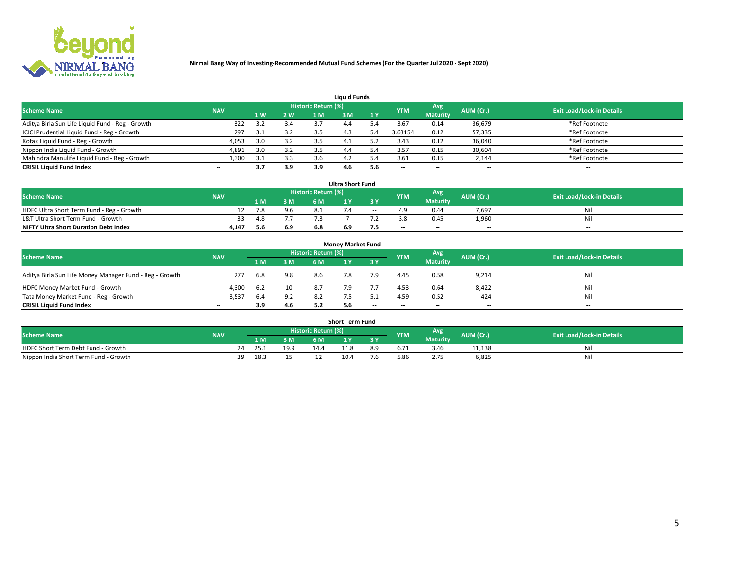

| <b>Liquid Funds</b>                              |                                  |     |     |     |     |     |                          |                 |                          |                          |  |  |  |  |
|--------------------------------------------------|----------------------------------|-----|-----|-----|-----|-----|--------------------------|-----------------|--------------------------|--------------------------|--|--|--|--|
| <b>Scheme Name</b>                               | <b>Exit Load/Lock-in Details</b> |     |     |     |     |     |                          |                 |                          |                          |  |  |  |  |
|                                                  | <b>NAV</b>                       | 1 W | 2 W | 1 M | ዩ M | 1Y  | <b>YTM</b>               | <b>Maturity</b> | AUM (Cr.)                |                          |  |  |  |  |
| Aditya Birla Sun Life Liquid Fund - Reg - Growth | 322                              |     | 3.4 |     |     |     | 3.67                     | 0.14            | 36,679                   | *Ref Footnote            |  |  |  |  |
| ICICI Prudential Liquid Fund - Reg - Growth      | 297                              | 3.1 | 3.2 |     | 4.3 | 3.4 | 3.63154                  | 0.12            | 57,335                   | *Ref Footnote            |  |  |  |  |
| Kotak Liquid Fund - Reg - Growth                 | 4,053                            | 3.0 | 3.2 |     |     |     | 3.43                     | 0.12            | 36,040                   | *Ref Footnote            |  |  |  |  |
| Nippon India Liquid Fund - Growth                | 4,891                            | 3.0 | 3.2 |     | 4.4 | 5.4 | 3.57                     | 0.15            | 30,604                   | *Ref Footnote            |  |  |  |  |
| Mahindra Manulife Liquid Fund - Reg - Growth     | 1,300                            | 21  | 3.3 |     | 4.2 | 5.4 | 3.61                     | 0.15            | 2,144                    | *Ref Footnote            |  |  |  |  |
| <b>CRISIL Liquid Fund Index</b>                  | $- -$                            | 3.7 | 3.9 | 3.9 | 4.O | 5.6 | $\overline{\phantom{a}}$ | $- -$           | $\overline{\phantom{a}}$ | $\overline{\phantom{m}}$ |  |  |  |  |

|                                              |            |      |     |                     | <b>Ultra Short Fund</b> |       |            |                 |                          |                                  |
|----------------------------------------------|------------|------|-----|---------------------|-------------------------|-------|------------|-----------------|--------------------------|----------------------------------|
| <b>Scheme Name</b>                           | <b>NAV</b> |      |     | Historic Return (%) |                         |       | <b>YTM</b> | Avg             | AUM (Cr.)                | <b>Exit Load/Lock-in Details</b> |
|                                              |            | 1 M. | 3 M | 6 M                 | 1 Y                     |       |            | <b>Maturity</b> |                          |                                  |
| HDFC Ultra Short Term Fund - Reg - Growth    |            | 7.8  | 9.6 |                     |                         | $- -$ |            | 0.44            | 7.697                    | Ni                               |
| L&T Ultra Short Term Fund - Growth           |            |      |     |                     |                         |       |            | 0.45            | 1.960                    | Ni                               |
| <b>NIFTY Ultra Short Duration Debt Index</b> | 4,147      |      | 6.9 |                     | 6.9                     | . כ   | $-$        | $- -$           | $\overline{\phantom{a}}$ | $-$                              |

| <b>Money Market Fund</b>                                |            |      |     |                     |     |       |                          |                 |                          |                                  |  |  |  |  |
|---------------------------------------------------------|------------|------|-----|---------------------|-----|-------|--------------------------|-----------------|--------------------------|----------------------------------|--|--|--|--|
| <b>Scheme Name</b>                                      | <b>NAV</b> |      |     | Historic Return (%) |     |       | <b>YTM</b>               | Avg             | AUM (Cr.)                | <b>Exit Load/Lock-in Details</b> |  |  |  |  |
|                                                         |            | 1 M  | 3 M | 6 M                 |     | 3 Y   |                          | <b>Maturity</b> |                          |                                  |  |  |  |  |
| Aditya Birla Sun Life Money Manager Fund - Reg - Growth | 277        | 6.8  | 9.8 | 8.6                 |     | 7.9   | 4.45                     | 0.58            | 9,214                    | Nil                              |  |  |  |  |
| HDFC Money Market Fund - Growth                         | 4,300      | -6.2 | 10  | 8.7                 |     |       | 4.53                     | 0.64            | 8,422                    | Nil                              |  |  |  |  |
| Tata Money Market Fund - Reg - Growth                   | 3,537      | 6.4  | 9.2 |                     |     |       | 4.59                     | 0.52            | 424                      | Nil                              |  |  |  |  |
| <b>CRISIL Liquid Fund Index</b>                         | $- -$      | 3.9  | 4.6 |                     | 5.6 | $- -$ | $\overline{\phantom{a}}$ | $- -$           | $\overline{\phantom{a}}$ | $\overline{\phantom{a}}$         |  |  |  |  |

|                                       |            |       |      |                     | <b>Short Term Fund</b> |     |      |                 |           |                                  |
|---------------------------------------|------------|-------|------|---------------------|------------------------|-----|------|-----------------|-----------|----------------------------------|
| <b>Scheme Name</b>                    | <b>NAV</b> |       |      | Historic Return (%) |                        |     | YTM  | Avg             | AUM (Cr.) | <b>Exit Load/Lock-in Details</b> |
|                                       |            | 1 M . | 3 M  | 6 M                 |                        | 2V  |      | <b>Maturity</b> |           |                                  |
| HDFC Short Term Debt Fund - Growth    |            | 25.1  | 19.9 | 14.4                | 11.8                   | 8.9 |      | 3.46            | 11,138    | M                                |
| Nippon India Short Term Fund - Growth | 39         | 18.3  |      |                     | 10.4                   |     | 5.86 |                 | 6,825     | N                                |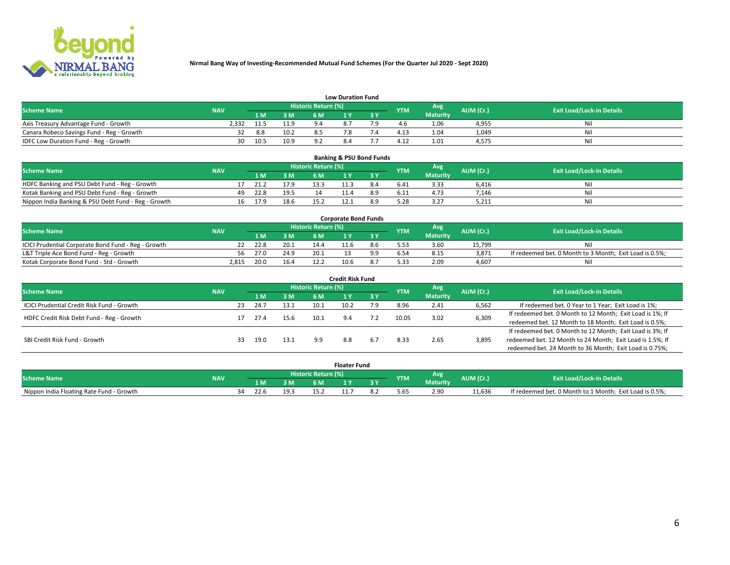

|                                           | <b>Low Duration Fund</b> |      |      |                     |           |     |                  |                 |           |                                  |  |  |  |  |  |
|-------------------------------------------|--------------------------|------|------|---------------------|-----------|-----|------------------|-----------------|-----------|----------------------------------|--|--|--|--|--|
| <b>Scheme Name</b>                        | <b>NAV</b>               |      |      | Historic Return (%) |           |     | <b>YTM</b>       | Avg             | AUM (Cr.) | <b>Exit Load/Lock-in Details</b> |  |  |  |  |  |
|                                           |                          | L M. | 3 M  |                     |           | 3 Y |                  | <b>Maturity</b> |           |                                  |  |  |  |  |  |
| Axis Treasury Advantage Fund - Growth     | ?.332                    | 11.5 | 11 0 |                     | $\circ$ - |     |                  | 1.06            | 4,955     | Nil                              |  |  |  |  |  |
| Canara Robeco Savings Fund - Reg - Growth |                          | 8.8  | 10.2 |                     |           |     | 4.1 <sup>2</sup> | 1.04            | 1,049     | Nil                              |  |  |  |  |  |
| IDFC Low Duration Fund - Reg - Growth     | 30                       | 10.5 | 10.9 | ດາ                  | 8.4       |     | $4.1^{\circ}$    | 1.01            | 4,575     | Nil                              |  |  |  |  |  |

| <b>Banking &amp; PSU Bond Funds</b>                 |            |    |      |      |                     |  |           |            |                 |           |                                  |  |  |  |
|-----------------------------------------------------|------------|----|------|------|---------------------|--|-----------|------------|-----------------|-----------|----------------------------------|--|--|--|
| <b>Scheme Name</b>                                  | <b>NAV</b> |    |      |      | Historic Return (%) |  |           | <b>YTM</b> | Avg             | AUM (Cr.) | <b>Exit Load/Lock-in Details</b> |  |  |  |
|                                                     |            |    | 1 M. | 3 M  | 6 M                 |  | <b>AV</b> |            | <b>Maturity</b> |           |                                  |  |  |  |
| HDFC Banking and PSU Debt Fund - Reg - Growth       |            |    | 21.2 | 17.9 | 13.3                |  | 8.4       | 6.41       | 3.33            | 6.416     | Ni                               |  |  |  |
| Kotak Banking and PSU Debt Fund - Reg - Growth      |            | 49 | 22.8 | 19.5 |                     |  |           | 6.11       | 4.73            | 7.146     | Ni                               |  |  |  |
| Nippon India Banking & PSU Debt Fund - Reg - Growth |            | 16 | 17.9 | 18.6 |                     |  |           |            | 3.27            | 5,211     | Ni                               |  |  |  |

| <b>Corporate Bond Funds</b>                         |            |      |      |                            |      |  |            |          |           |                                                         |  |  |  |  |
|-----------------------------------------------------|------------|------|------|----------------------------|------|--|------------|----------|-----------|---------------------------------------------------------|--|--|--|--|
| <b>Scheme Name</b>                                  | <b>NAV</b> |      |      | <b>Historic Return (%)</b> |      |  | <b>YTM</b> | Avg      | AUM (Cr.) | <b>Exit Load/Lock-in Details</b>                        |  |  |  |  |
|                                                     |            |      | 3 M  | 6 M                        |      |  |            | Maturity |           |                                                         |  |  |  |  |
| ICICI Prudential Corporate Bond Fund - Reg - Growth |            | 22.8 | 20.1 |                            |      |  |            | 3.60     | 15.799    | Nil                                                     |  |  |  |  |
| L&T Triple Ace Bond Fund - Reg - Growth             | 56         | 27.0 | 24.9 | 20.1                       |      |  |            | 8.15     | 3,871     | If redeemed bet. 0 Month to 3 Month; Exit Load is 0.5%; |  |  |  |  |
| Kotak Corporate Bond Fund - Std - Growth            | 2.815      | 20.0 | 16.4 | 12.7                       | 10.6 |  | 5.33       | 2.09     | 4.607     | Nil                                                     |  |  |  |  |

| <b>Credit Risk Fund</b>                    |            |    |      |      |                            |      |       |            |                 |           |                                                           |  |
|--------------------------------------------|------------|----|------|------|----------------------------|------|-------|------------|-----------------|-----------|-----------------------------------------------------------|--|
| <b>Scheme Name</b>                         | <b>NAV</b> |    |      |      | <b>Historic Return (%)</b> |      |       | <b>YTM</b> | Avg             | AUM (Cr.) | <b>Exit Load/Lock-in Details</b>                          |  |
|                                            |            |    | 1 M  | 3M   | 6 M                        |      | 73 Y. |            | <b>Maturity</b> |           |                                                           |  |
| ICICI Prudential Credit Risk Fund - Growth |            | 23 | 24.7 | 13.1 | 10.1                       | 10.2 | و.י   | 8.96       | 2.41            | 6,562     | If redeemed bet. 0 Year to 1 Year; Exit Load is 1%;       |  |
| HDFC Credit Risk Debt Fund - Reg - Growth  |            |    | 27.4 | 15.6 | 10.1                       | 9.4  | 7.2   | 10.05      | 3.02            | 6,309     | If redeemed bet. 0 Month to 12 Month; Exit Load is 1%; If |  |
|                                            |            |    |      |      |                            |      |       |            |                 |           | redeemed bet. 12 Month to 18 Month; Exit Load is 0.5%;    |  |
|                                            |            |    |      |      |                            |      |       |            |                 |           | If redeemed bet. 0 Month to 12 Month; Exit Load is 3%; If |  |
| SBI Credit Risk Fund - Growth              |            | 33 | 19.0 | 13.1 |                            | 8.8  | 6.7   | 8.33       | 2.65            | 3,895     | redeemed bet. 12 Month to 24 Month; Exit Load is 1.5%; If |  |
|                                            |            |    |      |      |                            |      |       |            |                 |           | redeemed bet. 24 Month to 36 Month; Exit Load is 0.75%;   |  |

| <b>Floater Fund</b>                      |            |                     |      |      |      |     |     |            |                 |           |                                                         |
|------------------------------------------|------------|---------------------|------|------|------|-----|-----|------------|-----------------|-----------|---------------------------------------------------------|
| <b>Scheme Name</b>                       | <b>NAV</b> | Historic Return (%) |      |      |      |     |     | <b>YTM</b> | Avg             | AUM (Cr.) | <b>Exit Load/Lock-in Details</b>                        |
|                                          |            |                     | 1 M  | ЗM   | 6 M. | . . | י כ |            | <b>Maturity</b> |           |                                                         |
| Nippon India Floating Rate Fund - Growth |            | ٦Δ                  | 22.6 | 19.3 |      | .   |     | 5.65       | 2.90            | 11.636    | If redeemed bet. 0 Month to 1 Month; Exit Load is 0.5%; |